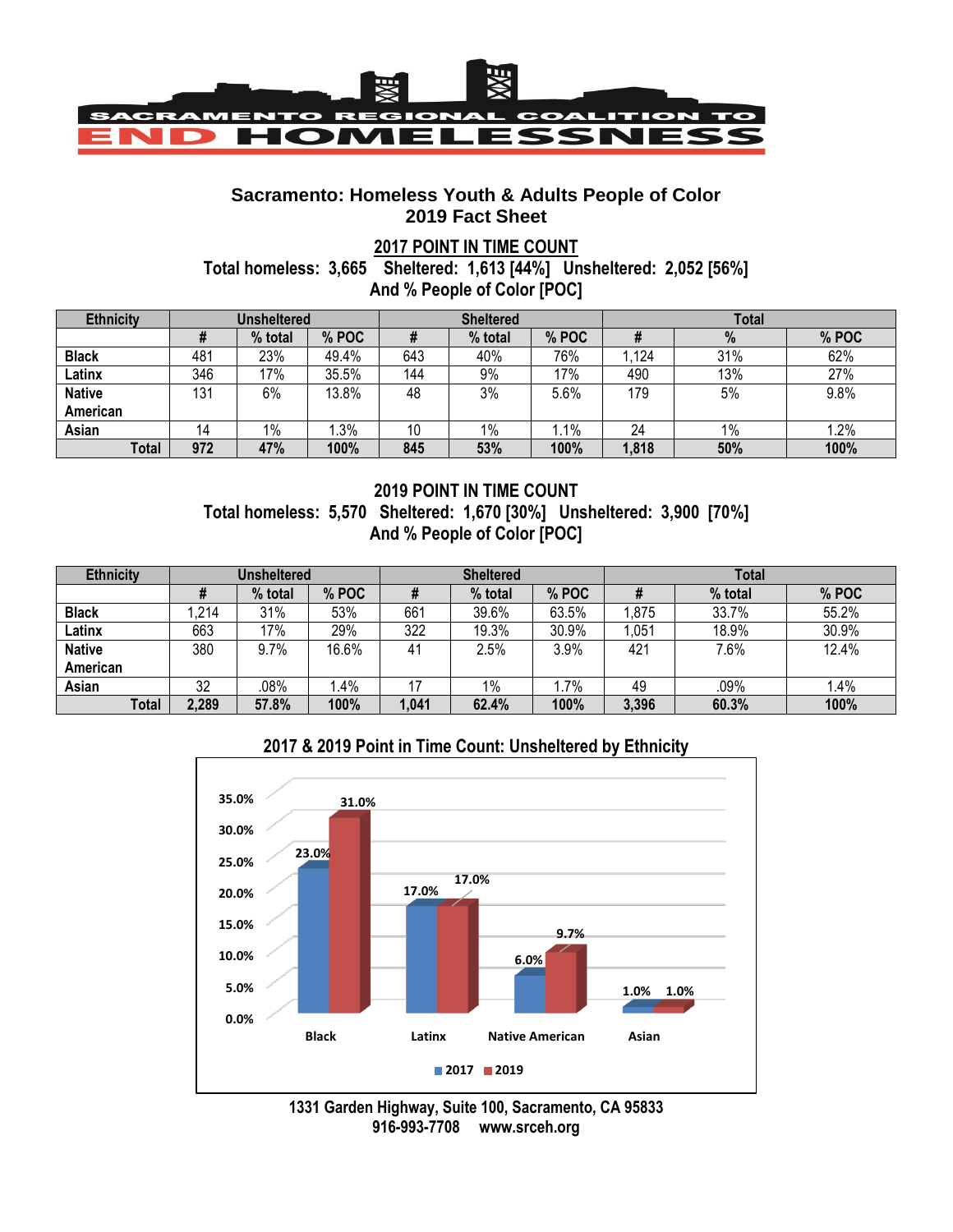

### **Sacramento: Homeless Youth & Adults People of Color 2019 Fact Sheet**

### **2017 POINT IN TIME COUNT**

**Total homeless: 3,665 Sheltered: 1,613 [44%] Unsheltered: 2,052 [56%] And % People of Color [POC]**

| <b>Ethnicity</b> | <b>Unsheltered</b> |         |       | <b>Sheltered</b> |         |        | <b>Total</b> |     |       |
|------------------|--------------------|---------|-------|------------------|---------|--------|--------------|-----|-------|
|                  |                    | % total | % POC |                  | % total | % POC  |              | %   | % POC |
| <b>Black</b>     | 481                | 23%     | 49.4% | 643              | 40%     | 76%    | .124         | 31% | 62%   |
| Latinx           | 346                | 17%     | 35.5% | 144              | 9%      | 17%    | 490          | 13% | 27%   |
| <b>Native</b>    | 131                | 6%      | 13.8% | 48               | 3%      | 5.6%   | 179          | 5%  | 9.8%  |
| American         |                    |         |       |                  |         |        |              |     |       |
| Asian            |                    | 1%      | .3%   | 10               | 1%      | $.1\%$ | 24           | 1%  | 1.2%  |
| <b>Total</b>     | 972                | 47%     | 100%  | 845              | 53%     | 100%   | 1,818        | 50% | 100%  |

# **2019 POINT IN TIME COUNT Total homeless: 5,570 Sheltered: 1,670 [30%] Unsheltered: 3,900 [70%] And % People of Color [POC]**

| <b>Ethnicity</b> | Unsheltered |         |       | <b>Sheltered</b> |         |       | <b>Total</b> |         |       |
|------------------|-------------|---------|-------|------------------|---------|-------|--------------|---------|-------|
|                  |             | % total | % POC |                  | % total | % POC |              | % total | % POC |
| <b>Black</b>     | ,214        | 31%     | 53%   | 661              | 39.6%   | 63.5% | 1,875        | 33.7%   | 55.2% |
| Latinx           | 663         | 17%     | 29%   | 322              | 19.3%   | 30.9% | 1,051        | 18.9%   | 30.9% |
| <b>Native</b>    | 380         | 9.7%    | 16.6% | 41               | 2.5%    | 3.9%  | 421          | 7.6%    | 12.4% |
| American         |             |         |       |                  |         |       |              |         |       |
| Asian            | 32          | .08%    | l.4%  |                  | $1\%$   | .7%   | 49           | .09%    | 1.4%  |
| Total            | 2,289       | 57.8%   | 100%  | 1,041            | 62.4%   | 100%  | 3,396        | 60.3%   | 100%  |

# **2017 & 2019 Point in Time Count: Unsheltered by Ethnicity**